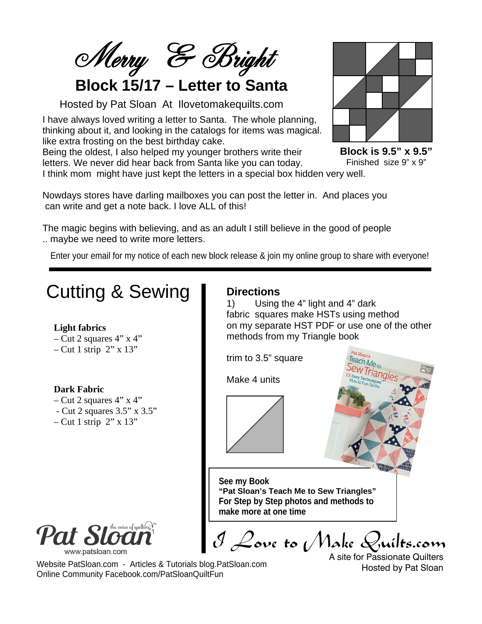Merry & Bright

## **Block 15/17 – Letter to Santa**

Hosted by Pat Sloan At Ilovetomakequilts.com

I have always loved writing a letter to Santa. The whole planning, thinking about it, and looking in the catalogs for items was magical. like extra frosting on the best birthday cake.

Being the oldest, I also helped my younger brothers write their letters. We never did hear back from Santa like you can today.

I think mom might have just kept the letters in a special box hidden very well.

Nowdays stores have darling mailboxes you can post the letter in. And places you can write and get a note back. I love ALL of this!

The magic begins with believing, and as an adult I still believe in the good of people .. maybe we need to write more letters.

Enter your email for my notice of each new block release & join my online group to share with everyone!

### Cutting & Sewing **Directions** 1) Using the 4" light and 4" dark fabric squares make HSTs using method **Light fabrics** methods from my Triangle book  $-$  Cut 2 squares 4" x 4"  $-$  Cut 1 strip 2" x 13" trim to 3.5" square Make 4 units **Dark Fabric**  $-$  Cut 2 squares 4" x 4" - Cut 2 squares 3.5" x 3.5"  $-$  Cut 1 strip  $2$ " x 13" **See my Book "Pat Sloan's Teach Me to Sew Triangles" For Step by Step photos and methods to make more at one time**e voice of quilting www.patsloan.com A site for Passionate Quilters Website PatSloan.com - Articles & Tutorials blog.PatSloan.com Hosted by Pat Sloan Online Community Facebook.com/PatSloanQuiltFun

**Block is 9.5" x 9.5"** Finished size 9" x 9"

on my separate HST PDF or use one of the other

I Love to Make Quilts.com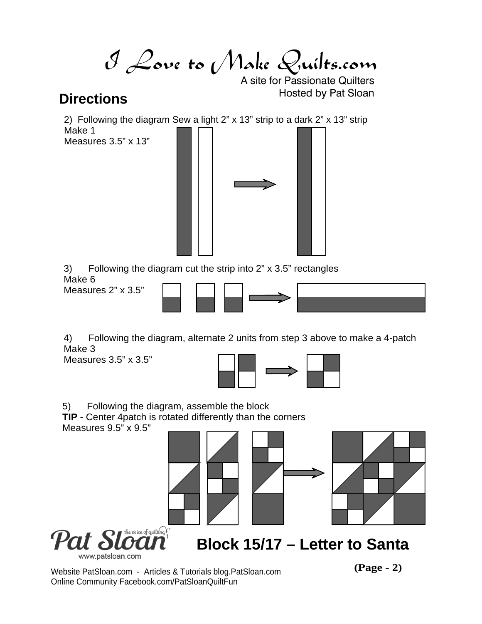I Love to Make Quilts.com

A site for Passionate Quilters **Directions Directions Directions** 

2) Following the diagram Sew a light 2" x 13" strip to a dark 2" x 13" strip Make 1

Measures 3.5" x 13"



3) Following the diagram cut the strip into 2" x 3.5" rectangles Make 6

Measures 2" x 3.5"



4) Following the diagram, alternate 2 units from step 3 above to make a 4-patch Make 3

Measures 3.5" x 3.5"



5) Following the diagram, assemble the block

**TIP** - Center 4patch is rotated differently than the corners

Measures 9.5" x 9.5"



Website PatSloan.com - Articles & Tutorials blog.PatSloan.com **(Page - 2)** Online Community Facebook.com/PatSloanQuiltFun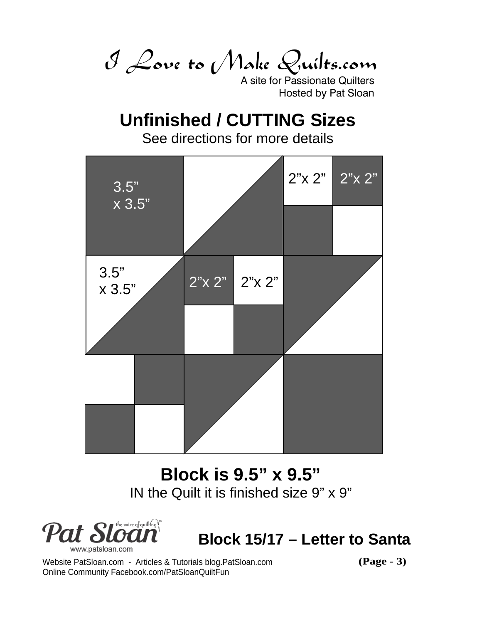I Love to Make Quilts.com

A site for Passionate Quilters Hosted by Pat Sloan

# **Unfinished / CUTTING Sizes**

See directions for more details



# **Block is 9.5" x 9.5"** IN the Quilt it is finished size 9" x 9"



**Block 15/17 – Letter to Santa**

Website PatSloan.com - Articles & Tutorials blog.PatSloan.com **(Page - 3)** Online Community Facebook.com/PatSloanQuiltFun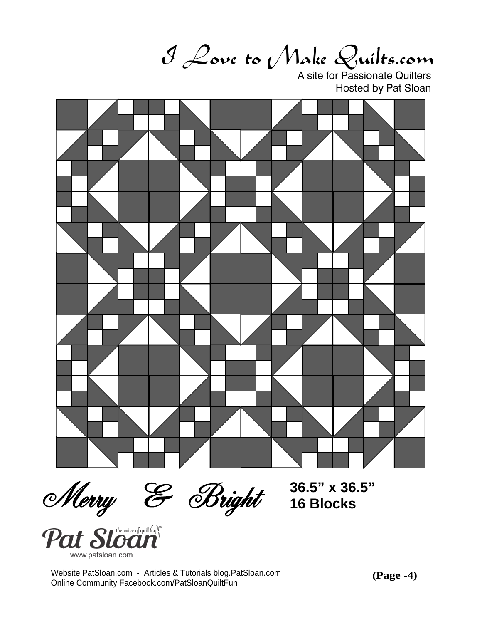I Love to Make Quilts.com

A site for Passionate Quilters Hosted by Pat Sloan



**36.5" x 36.5" 16 Blocks**

Merry & Bright<br>Pat Sloan www.patsloan.cor

Website PatSloan.com - Articles & Tutorials blog.PatSloan.com Online Community Facebook.com/PatSloanQuiltFun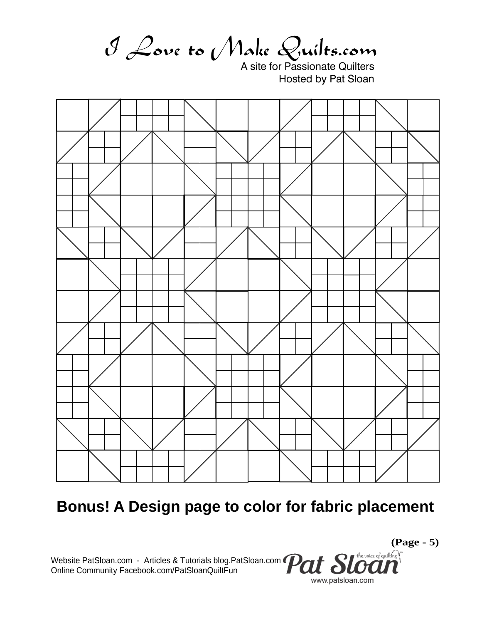I Love to Make Quilts.com

A site for Passionate Quilters Hosted by Pat Sloan



# **Bonus! A Design page to color for fabric placement**

Website PatSloan.com - Articles & Tutorials blog.PatSloan.com Online Community Facebook.com/PatSloanQuiltFun